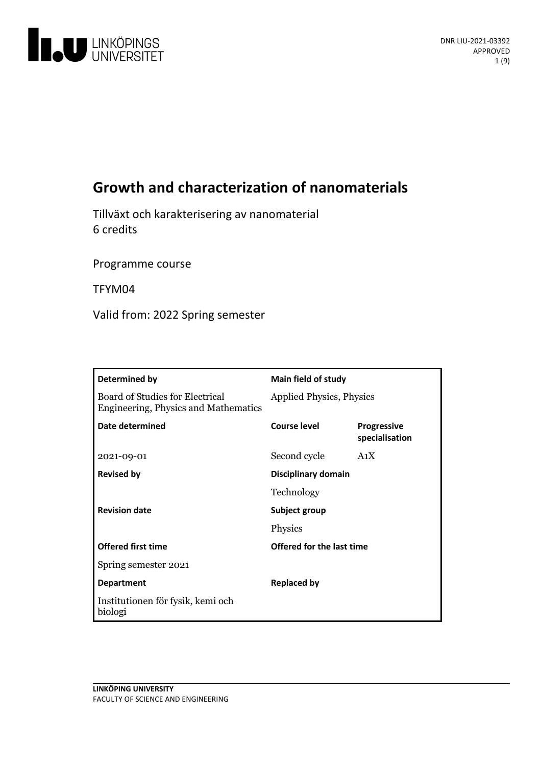

# **Growth and characterization of nanomaterials**

Tillväxt och karakteriseringav nanomaterial 6 credits

Programme course

TFYM04

Valid from: 2022 Spring semester

| Determined by                                                                  | <b>Main field of study</b>      |                                      |
|--------------------------------------------------------------------------------|---------------------------------|--------------------------------------|
| Board of Studies for Electrical<br><b>Engineering, Physics and Mathematics</b> | <b>Applied Physics, Physics</b> |                                      |
| Date determined                                                                | <b>Course level</b>             | <b>Progressive</b><br>specialisation |
| 2021-09-01                                                                     | Second cycle                    | A <sub>1</sub> X                     |
| <b>Revised by</b>                                                              | Disciplinary domain             |                                      |
|                                                                                | Technology                      |                                      |
| <b>Revision date</b>                                                           | Subject group                   |                                      |
|                                                                                | Physics                         |                                      |
| <b>Offered first time</b>                                                      | Offered for the last time       |                                      |
| Spring semester 2021                                                           |                                 |                                      |
| <b>Department</b>                                                              | <b>Replaced by</b>              |                                      |
| Institutionen för fysik, kemi och<br>biologi                                   |                                 |                                      |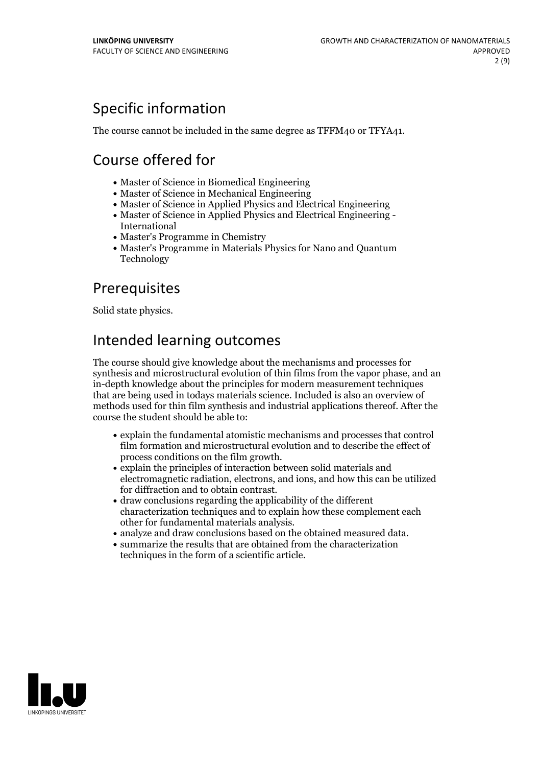# Specific information

The course cannot be included in the same degree as TFFM40 or TFYA41.

# Course offered for

- Master of Science in Biomedical Engineering
- Master of Science in Mechanical Engineering
- Master of Science in Applied Physics and Electrical Engineering
- Master of Science in Applied Physics and Electrical Engineering International
- Master's Programme in Chemistry
- Master's Programme in Materials Physics for Nano and Quantum Technology

## Prerequisites

Solid state physics.

## Intended learning outcomes

The course should give knowledge about the mechanisms and processes for synthesis and microstructural evolution of thin films from the vapor phase, and an in-depth knowledge about the principles for modern measurement techniques that are being used in todays materials science. Included isalso an overview of methods used for thin film synthesis and industrial applications thereof. After the course the student should be able to:

- explain the fundamental atomistic mechanisms and processes that control film formation and microstructural evolution and to describe the effect of
- process conditions on the film growth.<br>• explain the principles of interaction between solid materials and electromagnetic radiation, electrons, and ions, and how this can be utilized for diffraction and to obtain contrast.<br> $\bullet$  draw conclusions regarding the applicability of the different
- characterization techniques and to explain how these complement each
- other for fundamental materials analysis.<br>• analyze and draw conclusions based on the obtained measured data.<br>• summarize the results that are obtained from the characterization
- techniques in the form of a scientific article.

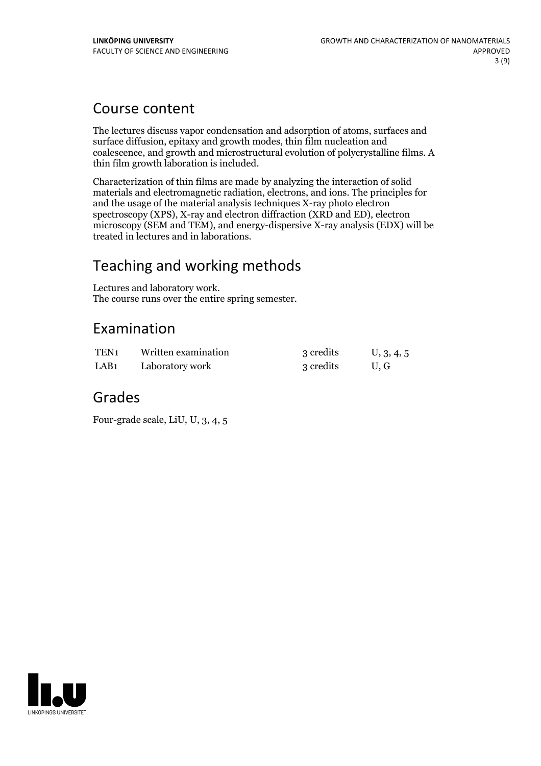## Course content

The lectures discuss vapor condensation and adsorption of atoms, surfaces and surface diffusion, epitaxy and growth modes, thin film nucleation and coalescence, and growth and microstructural evolution of polycrystalline films. A thin film growth laboration is included.

Characterization of thin films are made by analyzing the interaction of solid materials and electromagnetic radiation, electrons, and ions. The principles for and the usage of the material analysis techniques X-ray photo electron spectroscopy (XPS), X-ray and electron diffraction (XRD and ED), electron microscopy (SEM and TEM), and energy-dispersive X-ray analysis (EDX) will be treated in lectures and in laborations.

## Teaching and working methods

Lectures and laboratory work. The course runs over the entire spring semester.

## Examination

| TEN <sub>1</sub> | Written examination | 3 credits | U, 3, 4, 5 |
|------------------|---------------------|-----------|------------|
| LAB <sub>1</sub> | Laboratory work     | 3 credits | U.G        |

## Grades

Four-grade scale, LiU, U, 3, 4, 5

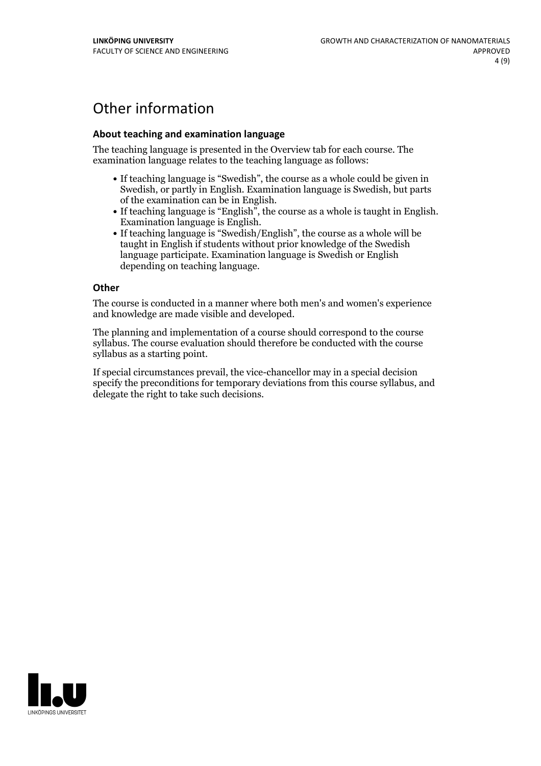## Other information

### **About teaching and examination language**

The teaching language is presented in the Overview tab for each course. The examination language relates to the teaching language as follows:

- If teaching language is "Swedish", the course as a whole could be given in Swedish, or partly in English. Examination language is Swedish, but parts
- of the examination can be in English. If teaching language is "English", the course as <sup>a</sup> whole is taught in English. Examination language is English. If teaching language is "Swedish/English", the course as <sup>a</sup> whole will be
- taught in English if students without prior knowledge of the Swedish language participate. Examination language is Swedish or English depending on teaching language.

#### **Other**

The course is conducted in a manner where both men's and women's experience and knowledge are made visible and developed.

The planning and implementation of a course should correspond to the course syllabus. The course evaluation should therefore be conducted with the course syllabus as a starting point.

If special circumstances prevail, the vice-chancellor may in a special decision specify the preconditions for temporary deviations from this course syllabus, and delegate the right to take such decisions.

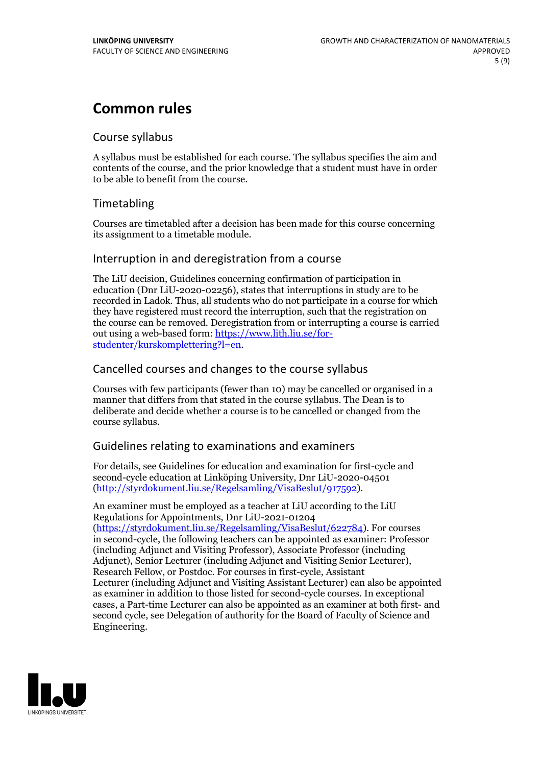## **Common rules**

### Course syllabus

A syllabus must be established for each course. The syllabus specifies the aim and contents of the course, and the prior knowledge that a student must have in order to be able to benefit from the course.

## Timetabling

Courses are timetabled after a decision has been made for this course concerning its assignment to a timetable module.

### Interruption in and deregistration from a course

The LiU decision, Guidelines concerning confirmation of participation in education (Dnr LiU-2020-02256), states that interruptions in study are to be recorded in Ladok. Thus, all students who do not participate in a course for which they have registered must record the interruption, such that the registration on the course can be removed. Deregistration from or interrupting a course is carried out using <sup>a</sup> web-based form: https://www.lith.liu.se/for- [studenter/kurskomplettering?l=en.](https://www.lith.liu.se/for-studenter/kurskomplettering?l=en)

## Cancelled coursesand changes to the course syllabus

Courses with few participants (fewer than 10) may be cancelled or organised in a manner that differs from that stated in the course syllabus. The Dean is to deliberate and decide whether a course is to be cancelled or changed from the course syllabus.

## Guidelines relating to examinations and examiners

For details, see Guidelines for education and examination for first-cycle and second-cycle education at Linköping University, Dnr LiU-2020-04501 [\(http://styrdokument.liu.se/Regelsamling/VisaBeslut/917592\)](http://styrdokument.liu.se/Regelsamling/VisaBeslut/917592).

An examiner must be employed as a teacher at LiU according to the LiU Regulations for Appointments, Dnr LiU-2021-01204 [\(https://styrdokument.liu.se/Regelsamling/VisaBeslut/622784](https://styrdokument.liu.se/Regelsamling/VisaBeslut/622784)). For courses in second-cycle, the following teachers can be appointed as examiner: Professor (including Adjunct and Visiting Professor), Associate Professor (including Adjunct), Senior Lecturer (including Adjunct and Visiting Senior Lecturer), Research Fellow, or Postdoc. For courses in first-cycle, Assistant Lecturer (including Adjunct and Visiting Assistant Lecturer) can also be appointed as examiner in addition to those listed for second-cycle courses. In exceptional cases, a Part-time Lecturer can also be appointed as an examiner at both first- and second cycle, see Delegation of authority for the Board of Faculty of Science and Engineering.

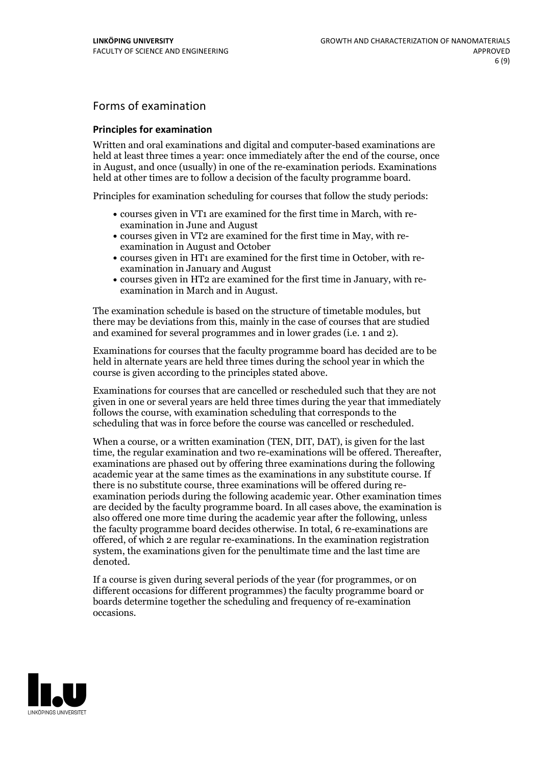## Forms of examination

### **Principles for examination**

Written and oral examinations and digital and computer-based examinations are held at least three times a year: once immediately after the end of the course, once in August, and once (usually) in one of the re-examination periods. Examinations held at other times are to follow a decision of the faculty programme board.

Principles for examination scheduling for courses that follow the study periods:

- courses given in VT1 are examined for the first time in March, with re-examination in June and August
- courses given in VT2 are examined for the first time in May, with re-examination in August and October
- courses given in HT1 are examined for the first time in October, with re-examination in January and August
- courses given in HT2 are examined for the first time in January, with re-examination in March and in August.

The examination schedule is based on the structure of timetable modules, but there may be deviations from this, mainly in the case of courses that are studied and examined for several programmes and in lower grades (i.e. 1 and 2).

Examinations for courses that the faculty programme board has decided are to be held in alternate years are held three times during the school year in which the course is given according to the principles stated above.

Examinations for courses that are cancelled orrescheduled such that they are not given in one or several years are held three times during the year that immediately follows the course, with examination scheduling that corresponds to the scheduling that was in force before the course was cancelled or rescheduled.

When a course, or a written examination (TEN, DIT, DAT), is given for the last time, the regular examination and two re-examinations will be offered. Thereafter, examinations are phased out by offering three examinations during the following academic year at the same times as the examinations in any substitute course. If there is no substitute course, three examinations will be offered during re- examination periods during the following academic year. Other examination times are decided by the faculty programme board. In all cases above, the examination is also offered one more time during the academic year after the following, unless the faculty programme board decides otherwise. In total, 6 re-examinations are offered, of which 2 are regular re-examinations. In the examination registration system, the examinations given for the penultimate time and the last time are denoted.

If a course is given during several periods of the year (for programmes, or on different occasions for different programmes) the faculty programme board or boards determine together the scheduling and frequency of re-examination occasions.

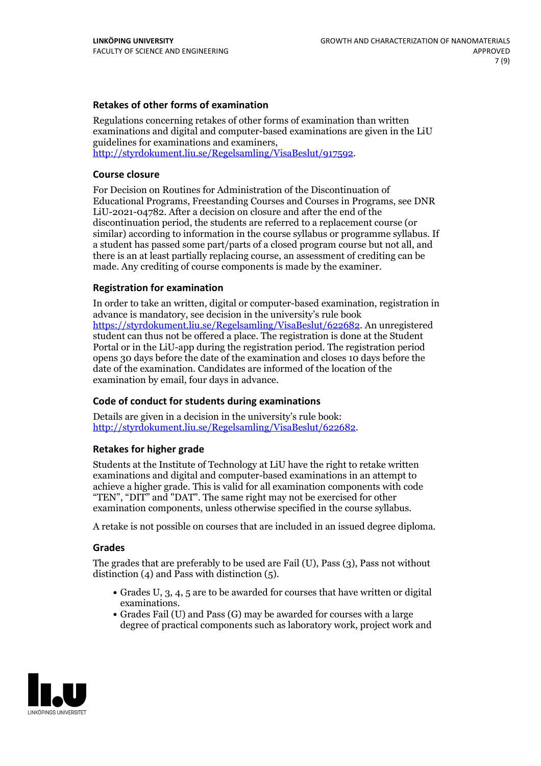### **Retakes of other forms of examination**

Regulations concerning retakes of other forms of examination than written examinations and digital and computer-based examinations are given in the LiU guidelines for examinations and examiners, [http://styrdokument.liu.se/Regelsamling/VisaBeslut/917592.](http://styrdokument.liu.se/Regelsamling/VisaBeslut/917592)

#### **Course closure**

For Decision on Routines for Administration of the Discontinuation of Educational Programs, Freestanding Courses and Courses in Programs, see DNR LiU-2021-04782. After a decision on closure and after the end of the discontinuation period, the students are referred to a replacement course (or similar) according to information in the course syllabus or programme syllabus. If a student has passed some part/parts of a closed program course but not all, and there is an at least partially replacing course, an assessment of crediting can be made. Any crediting of course components is made by the examiner.

### **Registration for examination**

In order to take an written, digital or computer-based examination, registration in advance is mandatory, see decision in the university's rule book [https://styrdokument.liu.se/Regelsamling/VisaBeslut/622682.](https://styrdokument.liu.se/Regelsamling/VisaBeslut/622682) An unregistered student can thus not be offered a place. The registration is done at the Student Portal or in the LiU-app during the registration period. The registration period opens 30 days before the date of the examination and closes 10 days before the date of the examination. Candidates are informed of the location of the examination by email, four days in advance.

### **Code of conduct for students during examinations**

Details are given in a decision in the university's rule book: <http://styrdokument.liu.se/Regelsamling/VisaBeslut/622682>.

#### **Retakes for higher grade**

Students at the Institute of Technology at LiU have the right to retake written examinations and digital and computer-based examinations in an attempt to achieve a higher grade. This is valid for all examination components with code "TEN", "DIT" and "DAT". The same right may not be exercised for other examination components, unless otherwise specified in the course syllabus.

A retake is not possible on courses that are included in an issued degree diploma.

#### **Grades**

The grades that are preferably to be used are Fail (U), Pass (3), Pass not without distinction  $(4)$  and Pass with distinction  $(5)$ .

- Grades U, 3, 4, 5 are to be awarded for courses that have written or digital examinations.<br>• Grades Fail (U) and Pass (G) may be awarded for courses with a large
- degree of practical components such as laboratory work, project work and

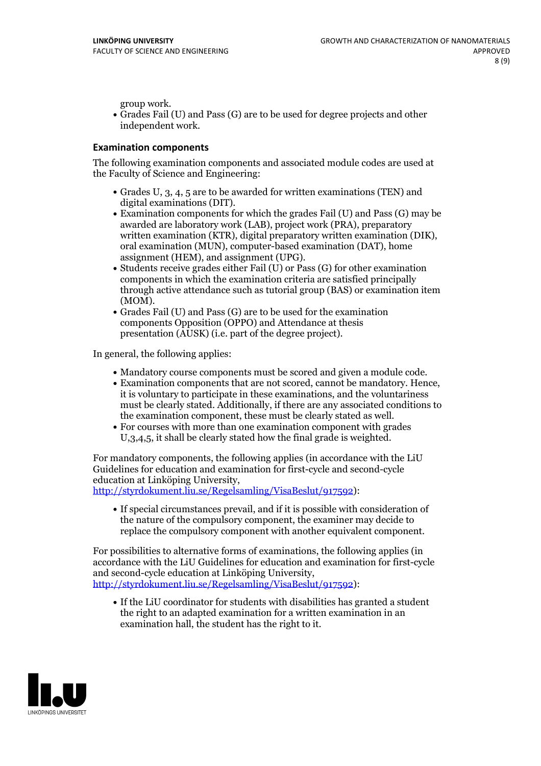group work.<br>• Grades Fail (U) and Pass (G) are to be used for degree projects and other independent work.

#### **Examination components**

The following examination components and associated module codes are used at the Faculty of Science and Engineering:

- Grades U, 3, 4, 5 are to be awarded for written examinations (TEN) and
- digital examinations (DIT).<br>• Examination components for which the grades Fail (U) and Pass (G) may be awarded are laboratory work (LAB), project work (PRA), preparatory written examination (KTR), digital preparatory written examination (DIK), oral examination (MUN), computer-based examination (DAT), home
- assignment (HEM), and assignment (UPG).<br>• Students receive grades either Fail (U) or Pass (G) for other examination components in which the examination criteria are satisfied principally through active attendance such as tutorial group (BAS) or examination item
- (MOM).<br>• Grades Fail (U) and Pass (G) are to be used for the examination components Opposition (OPPO) and Attendance at thesis presentation (AUSK) (i.e. part of the degree project).

In general, the following applies:

- 
- Mandatory course components must be scored and given <sup>a</sup> module code. Examination components that are not scored, cannot be mandatory. Hence, it is voluntary to participate in these examinations, and the voluntariness must be clearly stated. Additionally, if there are any associated conditions to
- the examination component, these must be clearly stated as well.<br>• For courses with more than one examination component with grades U,3,4,5, it shall be clearly stated how the final grade is weighted.

For mandatory components, the following applies (in accordance with the LiU Guidelines for education and examination for first-cycle and second-cycle

[http://styrdokument.liu.se/Regelsamling/VisaBeslut/917592\)](http://styrdokument.liu.se/Regelsamling/VisaBeslut/917592):

If special circumstances prevail, and if it is possible with consideration of the nature of the compulsory component, the examiner may decide to replace the compulsory component with another equivalent component.

For possibilities to alternative forms of examinations, the following applies (in accordance with the LiU Guidelines for education and examination for first-cycle [http://styrdokument.liu.se/Regelsamling/VisaBeslut/917592\)](http://styrdokument.liu.se/Regelsamling/VisaBeslut/917592):

If the LiU coordinator for students with disabilities has granted a student the right to an adapted examination for a written examination in an examination hall, the student has the right to it.